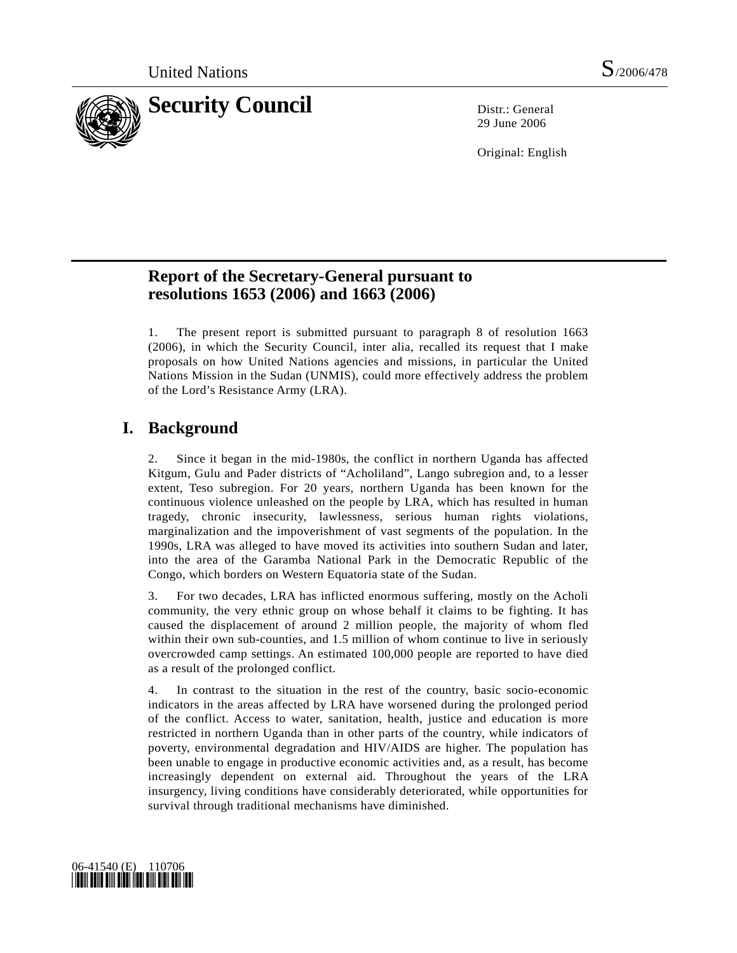

29 June 2006

Original: English

## **Report of the Secretary-General pursuant to resolutions 1653 (2006) and 1663 (2006)**

1. The present report is submitted pursuant to paragraph 8 of resolution 1663 (2006), in which the Security Council, inter alia, recalled its request that I make proposals on how United Nations agencies and missions, in particular the United Nations Mission in the Sudan (UNMIS), could more effectively address the problem of the Lord's Resistance Army (LRA).

# **I. Background**

2. Since it began in the mid-1980s, the conflict in northern Uganda has affected Kitgum, Gulu and Pader districts of "Acholiland", Lango subregion and, to a lesser extent, Teso subregion. For 20 years, northern Uganda has been known for the continuous violence unleashed on the people by LRA, which has resulted in human tragedy, chronic insecurity, lawlessness, serious human rights violations, marginalization and the impoverishment of vast segments of the population. In the 1990s, LRA was alleged to have moved its activities into southern Sudan and later, into the area of the Garamba National Park in the Democratic Republic of the Congo, which borders on Western Equatoria state of the Sudan.

3. For two decades, LRA has inflicted enormous suffering, mostly on the Acholi community, the very ethnic group on whose behalf it claims to be fighting. It has caused the displacement of around 2 million people, the majority of whom fled within their own sub-counties, and 1.5 million of whom continue to live in seriously overcrowded camp settings. An estimated 100,000 people are reported to have died as a result of the prolonged conflict.

4. In contrast to the situation in the rest of the country, basic socio-economic indicators in the areas affected by LRA have worsened during the prolonged period of the conflict. Access to water, sanitation, health, justice and education is more restricted in northern Uganda than in other parts of the country, while indicators of poverty, environmental degradation and HIV/AIDS are higher. The population has been unable to engage in productive economic activities and, as a result, has become increasingly dependent on external aid. Throughout the years of the LRA insurgency, living conditions have considerably deteriorated, while opportunities for survival through traditional mechanisms have diminished.

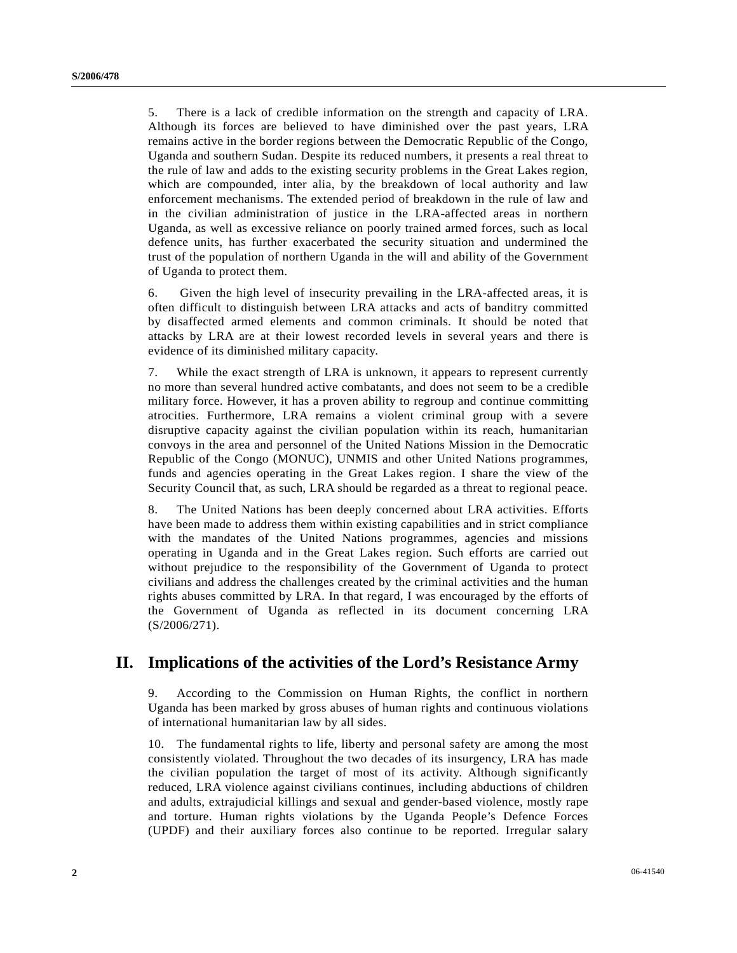5. There is a lack of credible information on the strength and capacity of LRA. Although its forces are believed to have diminished over the past years, LRA remains active in the border regions between the Democratic Republic of the Congo, Uganda and southern Sudan. Despite its reduced numbers, it presents a real threat to the rule of law and adds to the existing security problems in the Great Lakes region, which are compounded, inter alia, by the breakdown of local authority and law enforcement mechanisms. The extended period of breakdown in the rule of law and in the civilian administration of justice in the LRA-affected areas in northern Uganda, as well as excessive reliance on poorly trained armed forces, such as local defence units, has further exacerbated the security situation and undermined the trust of the population of northern Uganda in the will and ability of the Government of Uganda to protect them.

6. Given the high level of insecurity prevailing in the LRA-affected areas, it is often difficult to distinguish between LRA attacks and acts of banditry committed by disaffected armed elements and common criminals. It should be noted that attacks by LRA are at their lowest recorded levels in several years and there is evidence of its diminished military capacity.

7. While the exact strength of LRA is unknown, it appears to represent currently no more than several hundred active combatants, and does not seem to be a credible military force. However, it has a proven ability to regroup and continue committing atrocities. Furthermore, LRA remains a violent criminal group with a severe disruptive capacity against the civilian population within its reach, humanitarian convoys in the area and personnel of the United Nations Mission in the Democratic Republic of the Congo (MONUC), UNMIS and other United Nations programmes, funds and agencies operating in the Great Lakes region. I share the view of the Security Council that, as such, LRA should be regarded as a threat to regional peace.

8. The United Nations has been deeply concerned about LRA activities. Efforts have been made to address them within existing capabilities and in strict compliance with the mandates of the United Nations programmes, agencies and missions operating in Uganda and in the Great Lakes region. Such efforts are carried out without prejudice to the responsibility of the Government of Uganda to protect civilians and address the challenges created by the criminal activities and the human rights abuses committed by LRA. In that regard, I was encouraged by the efforts of the Government of Uganda as reflected in its document concerning LRA (S/2006/271).

## **II. Implications of the activities of the Lord's Resistance Army**

9. According to the Commission on Human Rights, the conflict in northern Uganda has been marked by gross abuses of human rights and continuous violations of international humanitarian law by all sides.

10. The fundamental rights to life, liberty and personal safety are among the most consistently violated. Throughout the two decades of its insurgency, LRA has made the civilian population the target of most of its activity. Although significantly reduced, LRA violence against civilians continues, including abductions of children and adults, extrajudicial killings and sexual and gender-based violence, mostly rape and torture. Human rights violations by the Uganda People's Defence Forces (UPDF) and their auxiliary forces also continue to be reported. Irregular salary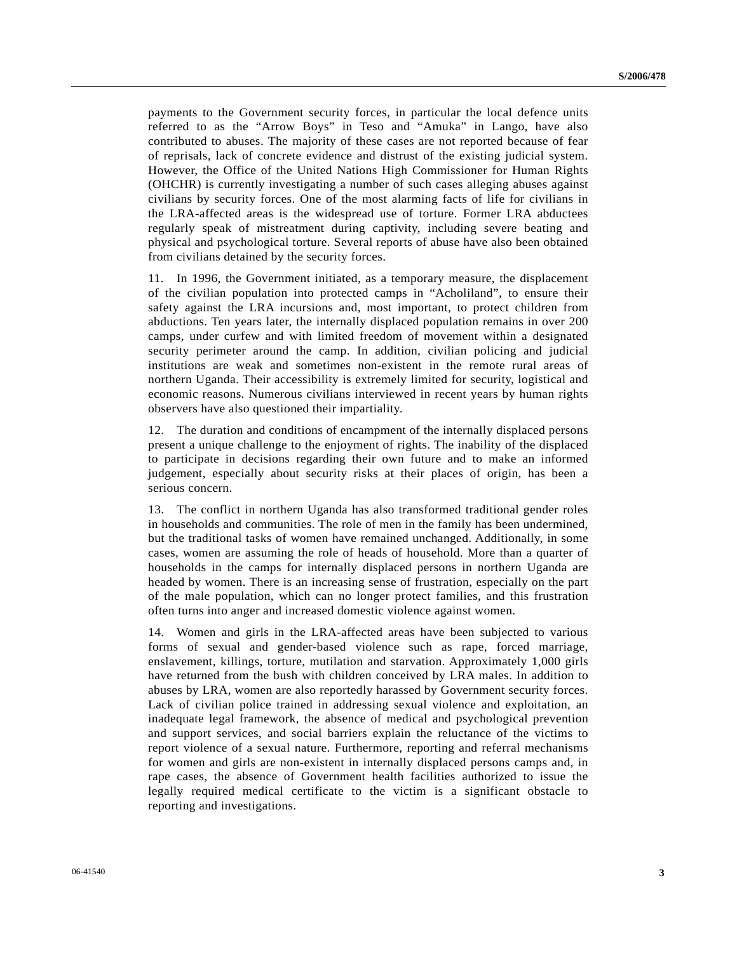payments to the Government security forces, in particular the local defence units referred to as the "Arrow Boys" in Teso and "Amuka" in Lango, have also contributed to abuses. The majority of these cases are not reported because of fear of reprisals, lack of concrete evidence and distrust of the existing judicial system. However, the Office of the United Nations High Commissioner for Human Rights (OHCHR) is currently investigating a number of such cases alleging abuses against civilians by security forces. One of the most alarming facts of life for civilians in the LRA-affected areas is the widespread use of torture. Former LRA abductees regularly speak of mistreatment during captivity, including severe beating and physical and psychological torture. Several reports of abuse have also been obtained from civilians detained by the security forces.

11. In 1996, the Government initiated, as a temporary measure, the displacement of the civilian population into protected camps in "Acholiland", to ensure their safety against the LRA incursions and, most important, to protect children from abductions. Ten years later, the internally displaced population remains in over 200 camps, under curfew and with limited freedom of movement within a designated security perimeter around the camp. In addition, civilian policing and judicial institutions are weak and sometimes non-existent in the remote rural areas of northern Uganda. Their accessibility is extremely limited for security, logistical and economic reasons. Numerous civilians interviewed in recent years by human rights observers have also questioned their impartiality.

12. The duration and conditions of encampment of the internally displaced persons present a unique challenge to the enjoyment of rights. The inability of the displaced to participate in decisions regarding their own future and to make an informed judgement, especially about security risks at their places of origin, has been a serious concern.

13. The conflict in northern Uganda has also transformed traditional gender roles in households and communities. The role of men in the family has been undermined, but the traditional tasks of women have remained unchanged. Additionally, in some cases, women are assuming the role of heads of household. More than a quarter of households in the camps for internally displaced persons in northern Uganda are headed by women. There is an increasing sense of frustration, especially on the part of the male population, which can no longer protect families, and this frustration often turns into anger and increased domestic violence against women.

14. Women and girls in the LRA-affected areas have been subjected to various forms of sexual and gender-based violence such as rape, forced marriage, enslavement, killings, torture, mutilation and starvation. Approximately 1,000 girls have returned from the bush with children conceived by LRA males. In addition to abuses by LRA, women are also reportedly harassed by Government security forces. Lack of civilian police trained in addressing sexual violence and exploitation, an inadequate legal framework, the absence of medical and psychological prevention and support services, and social barriers explain the reluctance of the victims to report violence of a sexual nature. Furthermore, reporting and referral mechanisms for women and girls are non-existent in internally displaced persons camps and, in rape cases, the absence of Government health facilities authorized to issue the legally required medical certificate to the victim is a significant obstacle to reporting and investigations.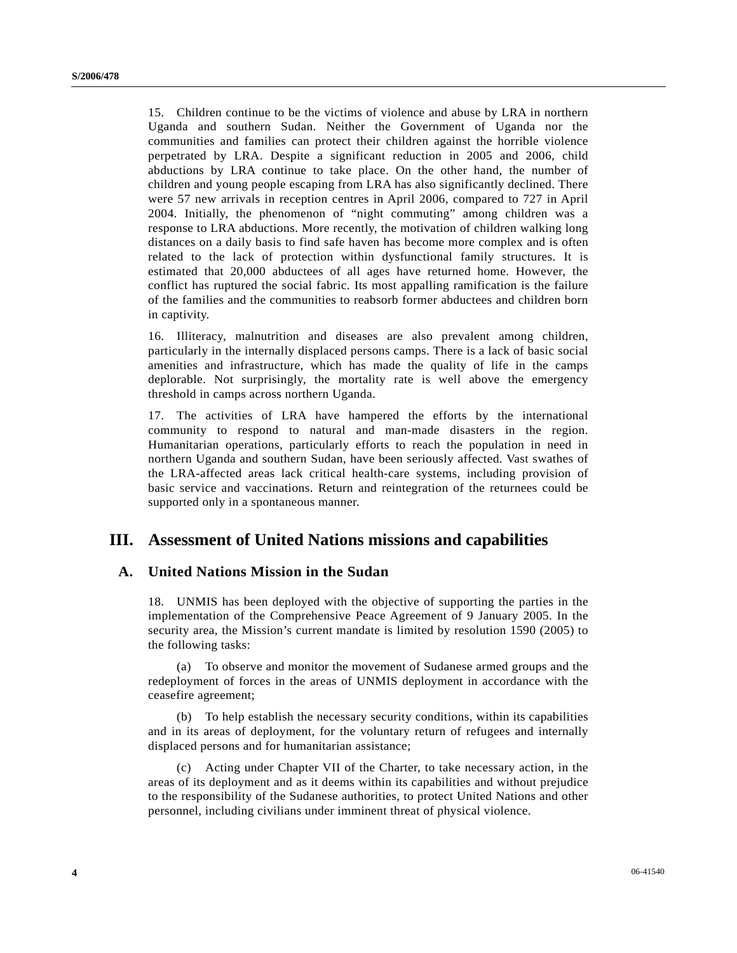15. Children continue to be the victims of violence and abuse by LRA in northern Uganda and southern Sudan. Neither the Government of Uganda nor the communities and families can protect their children against the horrible violence perpetrated by LRA. Despite a significant reduction in 2005 and 2006, child abductions by LRA continue to take place. On the other hand, the number of children and young people escaping from LRA has also significantly declined. There were 57 new arrivals in reception centres in April 2006, compared to 727 in April 2004. Initially, the phenomenon of "night commuting" among children was a response to LRA abductions. More recently, the motivation of children walking long distances on a daily basis to find safe haven has become more complex and is often related to the lack of protection within dysfunctional family structures. It is estimated that 20,000 abductees of all ages have returned home. However, the conflict has ruptured the social fabric. Its most appalling ramification is the failure of the families and the communities to reabsorb former abductees and children born in captivity.

16. Illiteracy, malnutrition and diseases are also prevalent among children, particularly in the internally displaced persons camps. There is a lack of basic social amenities and infrastructure, which has made the quality of life in the camps deplorable. Not surprisingly, the mortality rate is well above the emergency threshold in camps across northern Uganda.

17. The activities of LRA have hampered the efforts by the international community to respond to natural and man-made disasters in the region. Humanitarian operations, particularly efforts to reach the population in need in northern Uganda and southern Sudan, have been seriously affected. Vast swathes of the LRA-affected areas lack critical health-care systems, including provision of basic service and vaccinations. Return and reintegration of the returnees could be supported only in a spontaneous manner.

### **III. Assessment of United Nations missions and capabilities**

#### **A. United Nations Mission in the Sudan**

18. UNMIS has been deployed with the objective of supporting the parties in the implementation of the Comprehensive Peace Agreement of 9 January 2005. In the security area, the Mission's current mandate is limited by resolution 1590 (2005) to the following tasks:

 (a) To observe and monitor the movement of Sudanese armed groups and the redeployment of forces in the areas of UNMIS deployment in accordance with the ceasefire agreement;

 (b) To help establish the necessary security conditions, within its capabilities and in its areas of deployment, for the voluntary return of refugees and internally displaced persons and for humanitarian assistance;

 (c) Acting under Chapter VII of the Charter, to take necessary action, in the areas of its deployment and as it deems within its capabilities and without prejudice to the responsibility of the Sudanese authorities, to protect United Nations and other personnel, including civilians under imminent threat of physical violence.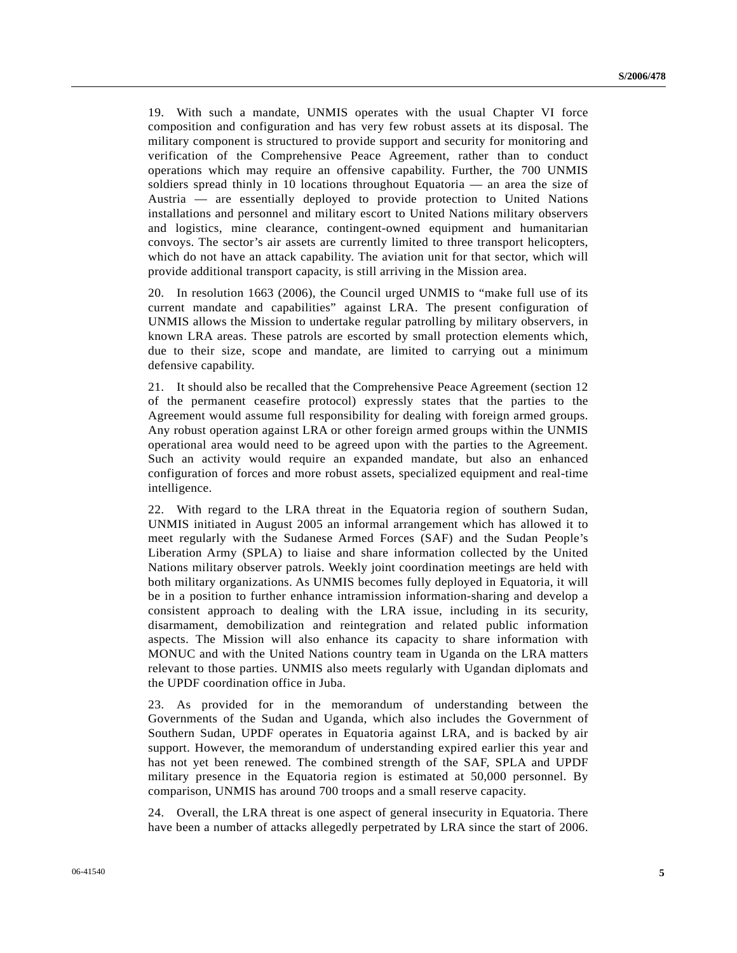19. With such a mandate, UNMIS operates with the usual Chapter VI force composition and configuration and has very few robust assets at its disposal. The military component is structured to provide support and security for monitoring and verification of the Comprehensive Peace Agreement, rather than to conduct operations which may require an offensive capability. Further, the 700 UNMIS soldiers spread thinly in 10 locations throughout Equatoria — an area the size of Austria — are essentially deployed to provide protection to United Nations installations and personnel and military escort to United Nations military observers and logistics, mine clearance, contingent-owned equipment and humanitarian convoys. The sector's air assets are currently limited to three transport helicopters, which do not have an attack capability. The aviation unit for that sector, which will provide additional transport capacity, is still arriving in the Mission area.

20. In resolution 1663 (2006), the Council urged UNMIS to "make full use of its current mandate and capabilities" against LRA. The present configuration of UNMIS allows the Mission to undertake regular patrolling by military observers, in known LRA areas. These patrols are escorted by small protection elements which, due to their size, scope and mandate, are limited to carrying out a minimum defensive capability.

21. It should also be recalled that the Comprehensive Peace Agreement (section 12 of the permanent ceasefire protocol) expressly states that the parties to the Agreement would assume full responsibility for dealing with foreign armed groups. Any robust operation against LRA or other foreign armed groups within the UNMIS operational area would need to be agreed upon with the parties to the Agreement. Such an activity would require an expanded mandate, but also an enhanced configuration of forces and more robust assets, specialized equipment and real-time intelligence.

22. With regard to the LRA threat in the Equatoria region of southern Sudan, UNMIS initiated in August 2005 an informal arrangement which has allowed it to meet regularly with the Sudanese Armed Forces (SAF) and the Sudan People's Liberation Army (SPLA) to liaise and share information collected by the United Nations military observer patrols. Weekly joint coordination meetings are held with both military organizations. As UNMIS becomes fully deployed in Equatoria, it will be in a position to further enhance intramission information-sharing and develop a consistent approach to dealing with the LRA issue, including in its security, disarmament, demobilization and reintegration and related public information aspects. The Mission will also enhance its capacity to share information with MONUC and with the United Nations country team in Uganda on the LRA matters relevant to those parties. UNMIS also meets regularly with Ugandan diplomats and the UPDF coordination office in Juba.

23. As provided for in the memorandum of understanding between the Governments of the Sudan and Uganda, which also includes the Government of Southern Sudan, UPDF operates in Equatoria against LRA, and is backed by air support. However, the memorandum of understanding expired earlier this year and has not yet been renewed. The combined strength of the SAF, SPLA and UPDF military presence in the Equatoria region is estimated at 50,000 personnel. By comparison, UNMIS has around 700 troops and a small reserve capacity.

24. Overall, the LRA threat is one aspect of general insecurity in Equatoria. There have been a number of attacks allegedly perpetrated by LRA since the start of 2006.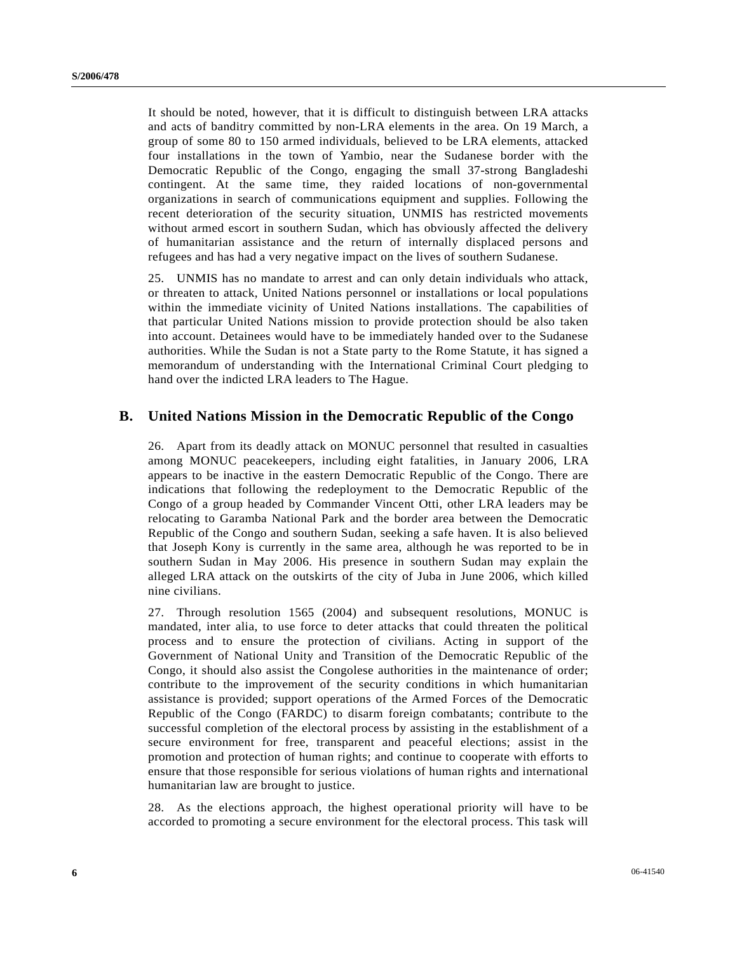It should be noted, however, that it is difficult to distinguish between LRA attacks and acts of banditry committed by non-LRA elements in the area. On 19 March, a group of some 80 to 150 armed individuals, believed to be LRA elements, attacked four installations in the town of Yambio, near the Sudanese border with the Democratic Republic of the Congo, engaging the small 37-strong Bangladeshi contingent. At the same time, they raided locations of non-governmental organizations in search of communications equipment and supplies. Following the recent deterioration of the security situation, UNMIS has restricted movements without armed escort in southern Sudan, which has obviously affected the delivery of humanitarian assistance and the return of internally displaced persons and refugees and has had a very negative impact on the lives of southern Sudanese.

25. UNMIS has no mandate to arrest and can only detain individuals who attack, or threaten to attack, United Nations personnel or installations or local populations within the immediate vicinity of United Nations installations. The capabilities of that particular United Nations mission to provide protection should be also taken into account. Detainees would have to be immediately handed over to the Sudanese authorities. While the Sudan is not a State party to the Rome Statute, it has signed a memorandum of understanding with the International Criminal Court pledging to hand over the indicted LRA leaders to The Hague.

#### **B. United Nations Mission in the Democratic Republic of the Congo**

26. Apart from its deadly attack on MONUC personnel that resulted in casualties among MONUC peacekeepers, including eight fatalities, in January 2006, LRA appears to be inactive in the eastern Democratic Republic of the Congo. There are indications that following the redeployment to the Democratic Republic of the Congo of a group headed by Commander Vincent Otti, other LRA leaders may be relocating to Garamba National Park and the border area between the Democratic Republic of the Congo and southern Sudan, seeking a safe haven. It is also believed that Joseph Kony is currently in the same area, although he was reported to be in southern Sudan in May 2006. His presence in southern Sudan may explain the alleged LRA attack on the outskirts of the city of Juba in June 2006, which killed nine civilians.

27. Through resolution 1565 (2004) and subsequent resolutions, MONUC is mandated, inter alia, to use force to deter attacks that could threaten the political process and to ensure the protection of civilians. Acting in support of the Government of National Unity and Transition of the Democratic Republic of the Congo, it should also assist the Congolese authorities in the maintenance of order; contribute to the improvement of the security conditions in which humanitarian assistance is provided; support operations of the Armed Forces of the Democratic Republic of the Congo (FARDC) to disarm foreign combatants; contribute to the successful completion of the electoral process by assisting in the establishment of a secure environment for free, transparent and peaceful elections; assist in the promotion and protection of human rights; and continue to cooperate with efforts to ensure that those responsible for serious violations of human rights and international humanitarian law are brought to justice.

28. As the elections approach, the highest operational priority will have to be accorded to promoting a secure environment for the electoral process. This task will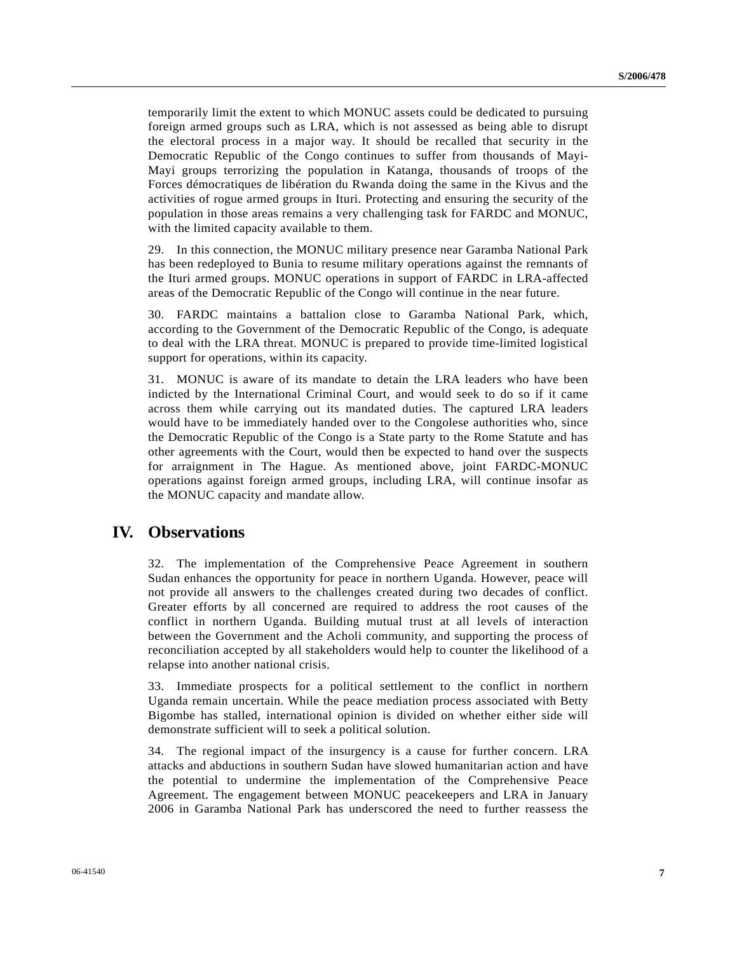temporarily limit the extent to which MONUC assets could be dedicated to pursuing foreign armed groups such as LRA, which is not assessed as being able to disrupt the electoral process in a major way. It should be recalled that security in the Democratic Republic of the Congo continues to suffer from thousands of Mayi-Mayi groups terrorizing the population in Katanga, thousands of troops of the Forces démocratiques de libération du Rwanda doing the same in the Kivus and the activities of rogue armed groups in Ituri. Protecting and ensuring the security of the population in those areas remains a very challenging task for FARDC and MONUC, with the limited capacity available to them.

29. In this connection, the MONUC military presence near Garamba National Park has been redeployed to Bunia to resume military operations against the remnants of the Ituri armed groups. MONUC operations in support of FARDC in LRA-affected areas of the Democratic Republic of the Congo will continue in the near future.

30. FARDC maintains a battalion close to Garamba National Park, which, according to the Government of the Democratic Republic of the Congo, is adequate to deal with the LRA threat. MONUC is prepared to provide time-limited logistical support for operations, within its capacity.

31. MONUC is aware of its mandate to detain the LRA leaders who have been indicted by the International Criminal Court, and would seek to do so if it came across them while carrying out its mandated duties. The captured LRA leaders would have to be immediately handed over to the Congolese authorities who, since the Democratic Republic of the Congo is a State party to the Rome Statute and has other agreements with the Court, would then be expected to hand over the suspects for arraignment in The Hague. As mentioned above, joint FARDC-MONUC operations against foreign armed groups, including LRA, will continue insofar as the MONUC capacity and mandate allow.

## **IV. Observations**

32. The implementation of the Comprehensive Peace Agreement in southern Sudan enhances the opportunity for peace in northern Uganda. However, peace will not provide all answers to the challenges created during two decades of conflict. Greater efforts by all concerned are required to address the root causes of the conflict in northern Uganda. Building mutual trust at all levels of interaction between the Government and the Acholi community, and supporting the process of reconciliation accepted by all stakeholders would help to counter the likelihood of a relapse into another national crisis.

33. Immediate prospects for a political settlement to the conflict in northern Uganda remain uncertain. While the peace mediation process associated with Betty Bigombe has stalled, international opinion is divided on whether either side will demonstrate sufficient will to seek a political solution.

34. The regional impact of the insurgency is a cause for further concern. LRA attacks and abductions in southern Sudan have slowed humanitarian action and have the potential to undermine the implementation of the Comprehensive Peace Agreement. The engagement between MONUC peacekeepers and LRA in January 2006 in Garamba National Park has underscored the need to further reassess the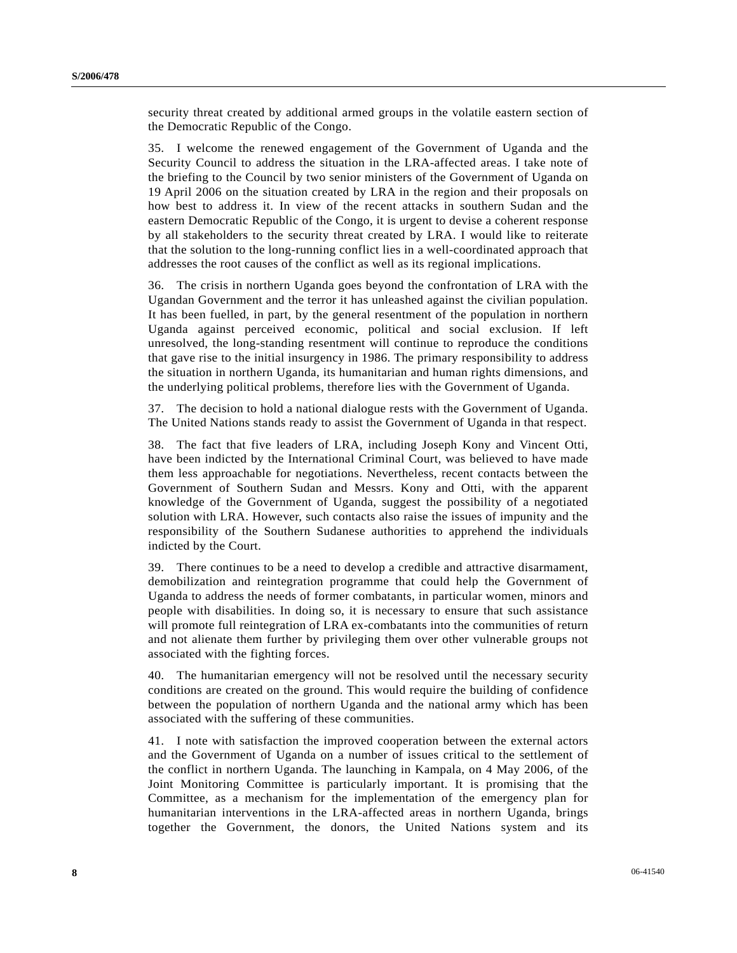security threat created by additional armed groups in the volatile eastern section of the Democratic Republic of the Congo.

35. I welcome the renewed engagement of the Government of Uganda and the Security Council to address the situation in the LRA-affected areas. I take note of the briefing to the Council by two senior ministers of the Government of Uganda on 19 April 2006 on the situation created by LRA in the region and their proposals on how best to address it. In view of the recent attacks in southern Sudan and the eastern Democratic Republic of the Congo, it is urgent to devise a coherent response by all stakeholders to the security threat created by LRA. I would like to reiterate that the solution to the long-running conflict lies in a well-coordinated approach that addresses the root causes of the conflict as well as its regional implications.

36. The crisis in northern Uganda goes beyond the confrontation of LRA with the Ugandan Government and the terror it has unleashed against the civilian population. It has been fuelled, in part, by the general resentment of the population in northern Uganda against perceived economic, political and social exclusion. If left unresolved, the long-standing resentment will continue to reproduce the conditions that gave rise to the initial insurgency in 1986. The primary responsibility to address the situation in northern Uganda, its humanitarian and human rights dimensions, and the underlying political problems, therefore lies with the Government of Uganda.

37. The decision to hold a national dialogue rests with the Government of Uganda. The United Nations stands ready to assist the Government of Uganda in that respect.

38. The fact that five leaders of LRA, including Joseph Kony and Vincent Otti, have been indicted by the International Criminal Court, was believed to have made them less approachable for negotiations. Nevertheless, recent contacts between the Government of Southern Sudan and Messrs. Kony and Otti, with the apparent knowledge of the Government of Uganda, suggest the possibility of a negotiated solution with LRA. However, such contacts also raise the issues of impunity and the responsibility of the Southern Sudanese authorities to apprehend the individuals indicted by the Court.

39. There continues to be a need to develop a credible and attractive disarmament, demobilization and reintegration programme that could help the Government of Uganda to address the needs of former combatants, in particular women, minors and people with disabilities. In doing so, it is necessary to ensure that such assistance will promote full reintegration of LRA ex-combatants into the communities of return and not alienate them further by privileging them over other vulnerable groups not associated with the fighting forces.

40. The humanitarian emergency will not be resolved until the necessary security conditions are created on the ground. This would require the building of confidence between the population of northern Uganda and the national army which has been associated with the suffering of these communities.

41. I note with satisfaction the improved cooperation between the external actors and the Government of Uganda on a number of issues critical to the settlement of the conflict in northern Uganda. The launching in Kampala, on 4 May 2006, of the Joint Monitoring Committee is particularly important. It is promising that the Committee, as a mechanism for the implementation of the emergency plan for humanitarian interventions in the LRA-affected areas in northern Uganda, brings together the Government, the donors, the United Nations system and its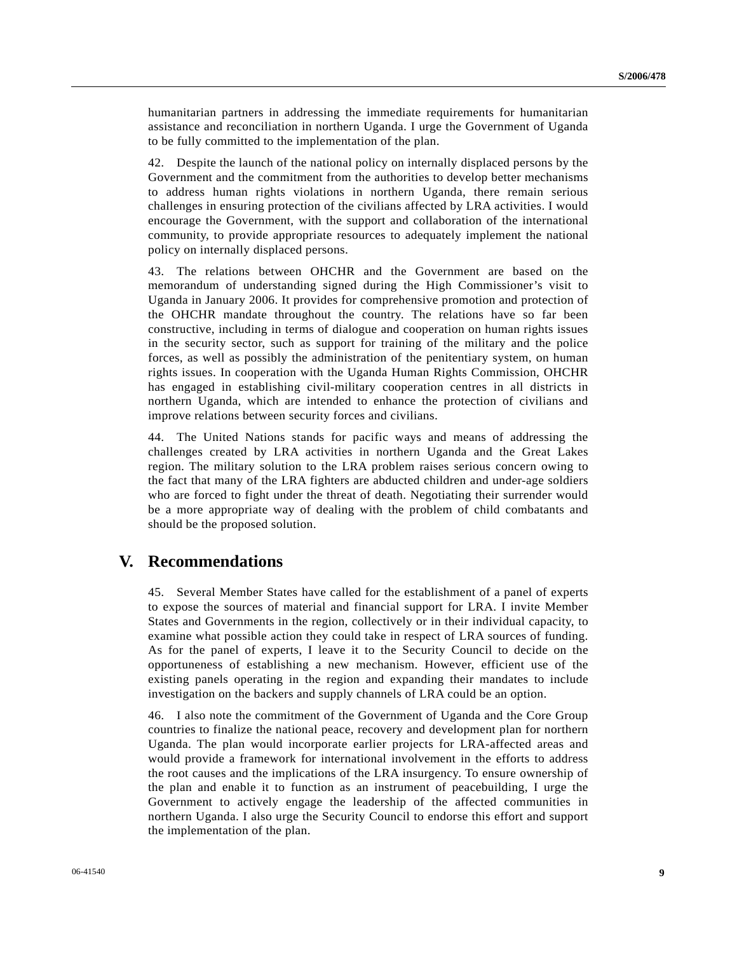humanitarian partners in addressing the immediate requirements for humanitarian assistance and reconciliation in northern Uganda. I urge the Government of Uganda to be fully committed to the implementation of the plan.

42. Despite the launch of the national policy on internally displaced persons by the Government and the commitment from the authorities to develop better mechanisms to address human rights violations in northern Uganda, there remain serious challenges in ensuring protection of the civilians affected by LRA activities. I would encourage the Government, with the support and collaboration of the international community, to provide appropriate resources to adequately implement the national policy on internally displaced persons.

43. The relations between OHCHR and the Government are based on the memorandum of understanding signed during the High Commissioner's visit to Uganda in January 2006. It provides for comprehensive promotion and protection of the OHCHR mandate throughout the country. The relations have so far been constructive, including in terms of dialogue and cooperation on human rights issues in the security sector, such as support for training of the military and the police forces, as well as possibly the administration of the penitentiary system, on human rights issues. In cooperation with the Uganda Human Rights Commission, OHCHR has engaged in establishing civil-military cooperation centres in all districts in northern Uganda, which are intended to enhance the protection of civilians and improve relations between security forces and civilians.

44. The United Nations stands for pacific ways and means of addressing the challenges created by LRA activities in northern Uganda and the Great Lakes region. The military solution to the LRA problem raises serious concern owing to the fact that many of the LRA fighters are abducted children and under-age soldiers who are forced to fight under the threat of death. Negotiating their surrender would be a more appropriate way of dealing with the problem of child combatants and should be the proposed solution.

## **V. Recommendations**

45. Several Member States have called for the establishment of a panel of experts to expose the sources of material and financial support for LRA. I invite Member States and Governments in the region, collectively or in their individual capacity, to examine what possible action they could take in respect of LRA sources of funding. As for the panel of experts, I leave it to the Security Council to decide on the opportuneness of establishing a new mechanism. However, efficient use of the existing panels operating in the region and expanding their mandates to include investigation on the backers and supply channels of LRA could be an option.

46. I also note the commitment of the Government of Uganda and the Core Group countries to finalize the national peace, recovery and development plan for northern Uganda. The plan would incorporate earlier projects for LRA-affected areas and would provide a framework for international involvement in the efforts to address the root causes and the implications of the LRA insurgency. To ensure ownership of the plan and enable it to function as an instrument of peacebuilding, I urge the Government to actively engage the leadership of the affected communities in northern Uganda. I also urge the Security Council to endorse this effort and support the implementation of the plan.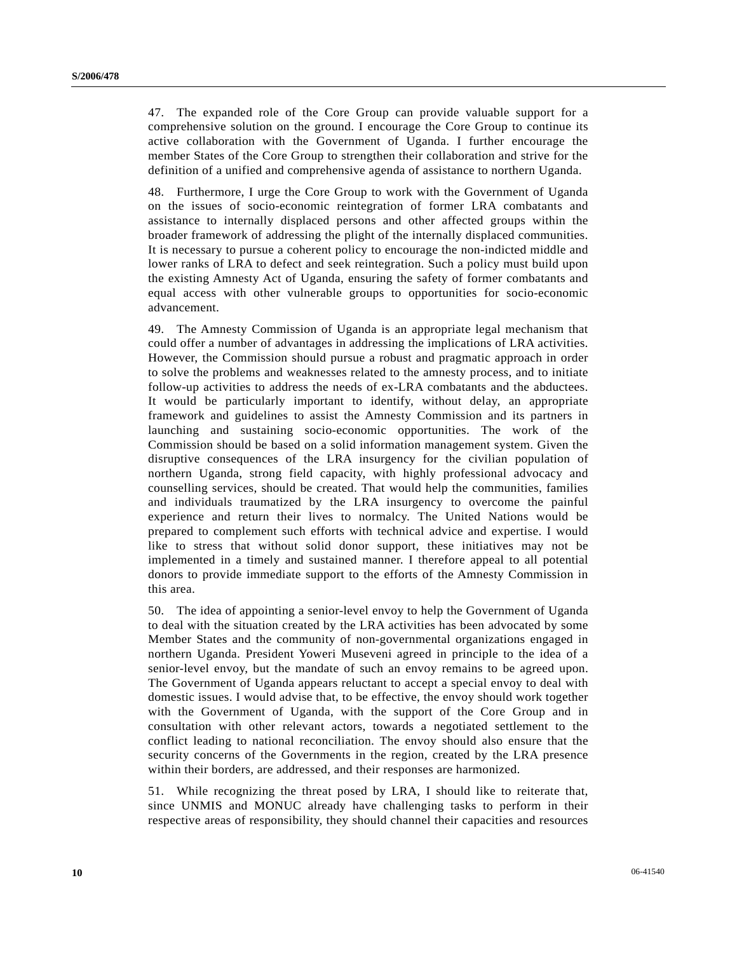47. The expanded role of the Core Group can provide valuable support for a comprehensive solution on the ground. I encourage the Core Group to continue its active collaboration with the Government of Uganda. I further encourage the member States of the Core Group to strengthen their collaboration and strive for the definition of a unified and comprehensive agenda of assistance to northern Uganda.

48. Furthermore, I urge the Core Group to work with the Government of Uganda on the issues of socio-economic reintegration of former LRA combatants and assistance to internally displaced persons and other affected groups within the broader framework of addressing the plight of the internally displaced communities. It is necessary to pursue a coherent policy to encourage the non-indicted middle and lower ranks of LRA to defect and seek reintegration. Such a policy must build upon the existing Amnesty Act of Uganda, ensuring the safety of former combatants and equal access with other vulnerable groups to opportunities for socio-economic advancement.

49. The Amnesty Commission of Uganda is an appropriate legal mechanism that could offer a number of advantages in addressing the implications of LRA activities. However, the Commission should pursue a robust and pragmatic approach in order to solve the problems and weaknesses related to the amnesty process, and to initiate follow-up activities to address the needs of ex-LRA combatants and the abductees. It would be particularly important to identify, without delay, an appropriate framework and guidelines to assist the Amnesty Commission and its partners in launching and sustaining socio-economic opportunities. The work of the Commission should be based on a solid information management system. Given the disruptive consequences of the LRA insurgency for the civilian population of northern Uganda, strong field capacity, with highly professional advocacy and counselling services, should be created. That would help the communities, families and individuals traumatized by the LRA insurgency to overcome the painful experience and return their lives to normalcy. The United Nations would be prepared to complement such efforts with technical advice and expertise. I would like to stress that without solid donor support, these initiatives may not be implemented in a timely and sustained manner. I therefore appeal to all potential donors to provide immediate support to the efforts of the Amnesty Commission in this area.

50. The idea of appointing a senior-level envoy to help the Government of Uganda to deal with the situation created by the LRA activities has been advocated by some Member States and the community of non-governmental organizations engaged in northern Uganda. President Yoweri Museveni agreed in principle to the idea of a senior-level envoy, but the mandate of such an envoy remains to be agreed upon. The Government of Uganda appears reluctant to accept a special envoy to deal with domestic issues. I would advise that, to be effective, the envoy should work together with the Government of Uganda, with the support of the Core Group and in consultation with other relevant actors, towards a negotiated settlement to the conflict leading to national reconciliation. The envoy should also ensure that the security concerns of the Governments in the region, created by the LRA presence within their borders, are addressed, and their responses are harmonized.

51. While recognizing the threat posed by LRA, I should like to reiterate that, since UNMIS and MONUC already have challenging tasks to perform in their respective areas of responsibility, they should channel their capacities and resources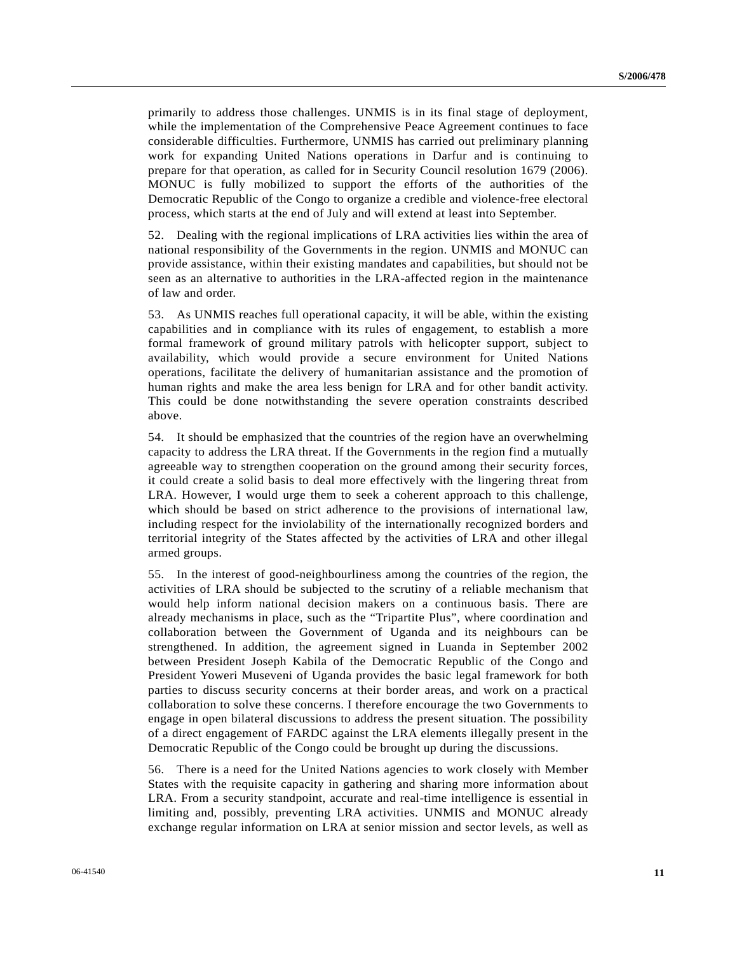primarily to address those challenges. UNMIS is in its final stage of deployment, while the implementation of the Comprehensive Peace Agreement continues to face considerable difficulties. Furthermore, UNMIS has carried out preliminary planning work for expanding United Nations operations in Darfur and is continuing to prepare for that operation, as called for in Security Council resolution 1679 (2006). MONUC is fully mobilized to support the efforts of the authorities of the Democratic Republic of the Congo to organize a credible and violence-free electoral process, which starts at the end of July and will extend at least into September.

52. Dealing with the regional implications of LRA activities lies within the area of national responsibility of the Governments in the region. UNMIS and MONUC can provide assistance, within their existing mandates and capabilities, but should not be seen as an alternative to authorities in the LRA-affected region in the maintenance of law and order.

53. As UNMIS reaches full operational capacity, it will be able, within the existing capabilities and in compliance with its rules of engagement, to establish a more formal framework of ground military patrols with helicopter support, subject to availability, which would provide a secure environment for United Nations operations, facilitate the delivery of humanitarian assistance and the promotion of human rights and make the area less benign for LRA and for other bandit activity. This could be done notwithstanding the severe operation constraints described above.

54. It should be emphasized that the countries of the region have an overwhelming capacity to address the LRA threat. If the Governments in the region find a mutually agreeable way to strengthen cooperation on the ground among their security forces, it could create a solid basis to deal more effectively with the lingering threat from LRA. However, I would urge them to seek a coherent approach to this challenge, which should be based on strict adherence to the provisions of international law, including respect for the inviolability of the internationally recognized borders and territorial integrity of the States affected by the activities of LRA and other illegal armed groups.

55. In the interest of good-neighbourliness among the countries of the region, the activities of LRA should be subjected to the scrutiny of a reliable mechanism that would help inform national decision makers on a continuous basis. There are already mechanisms in place, such as the "Tripartite Plus", where coordination and collaboration between the Government of Uganda and its neighbours can be strengthened. In addition, the agreement signed in Luanda in September 2002 between President Joseph Kabila of the Democratic Republic of the Congo and President Yoweri Museveni of Uganda provides the basic legal framework for both parties to discuss security concerns at their border areas, and work on a practical collaboration to solve these concerns. I therefore encourage the two Governments to engage in open bilateral discussions to address the present situation. The possibility of a direct engagement of FARDC against the LRA elements illegally present in the Democratic Republic of the Congo could be brought up during the discussions.

56. There is a need for the United Nations agencies to work closely with Member States with the requisite capacity in gathering and sharing more information about LRA. From a security standpoint, accurate and real-time intelligence is essential in limiting and, possibly, preventing LRA activities. UNMIS and MONUC already exchange regular information on LRA at senior mission and sector levels, as well as